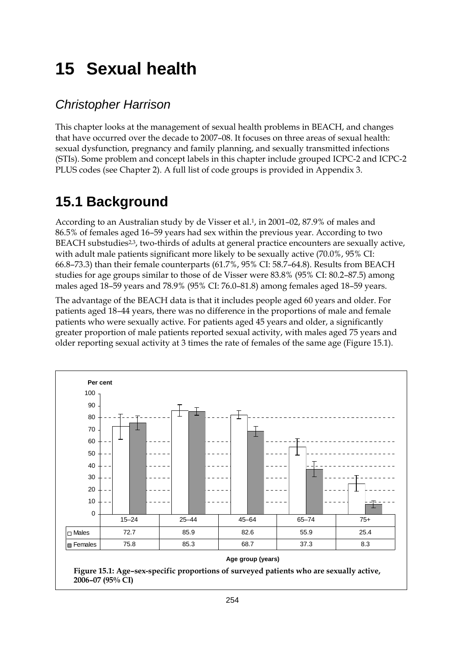# **15 Sexual health**

### *Christopher Harrison*

This chapter looks at the management of sexual health problems in BEACH, and changes that have occurred over the decade to 2007–08. It focuses on three areas of sexual health: sexual dysfunction, pregnancy and family planning, and sexually transmitted infections (STIs). Some problem and concept labels in this chapter include grouped ICPC-2 and ICPC-2 PLUS codes (see Chapter 2). A full list of code groups is provided in Appendix 3.

## **15.1 Background**

According to an Australian study by de Visser et al.1, in 2001–02, 87.9% of males and 86.5% of females aged 16–59 years had sex within the previous year. According to two BEACH substudies<sup>2,3</sup>, two-thirds of adults at general practice encounters are sexually active, with adult male patients significant more likely to be sexually active (70.0%, 95% CI: 66.8–73.3) than their female counterparts (61.7%, 95% CI: 58.7–64.8). Results from BEACH studies for age groups similar to those of de Visser were 83.8% (95% CI: 80.2–87.5) among males aged 18–59 years and 78.9% (95% CI: 76.0–81.8) among females aged 18–59 years.

The advantage of the BEACH data is that it includes people aged 60 years and older. For patients aged 18–44 years, there was no difference in the proportions of male and female patients who were sexually active. For patients aged 45 years and older, a significantly greater proportion of male patients reported sexual activity, with males aged 75 years and older reporting sexual activity at 3 times the rate of females of the same age (Figure 15.1).



#### **Age group (years)**

**Figure 15.1: Age–sex-specific proportions of surveyed patients who are sexually active, 2006–07 (95% CI)**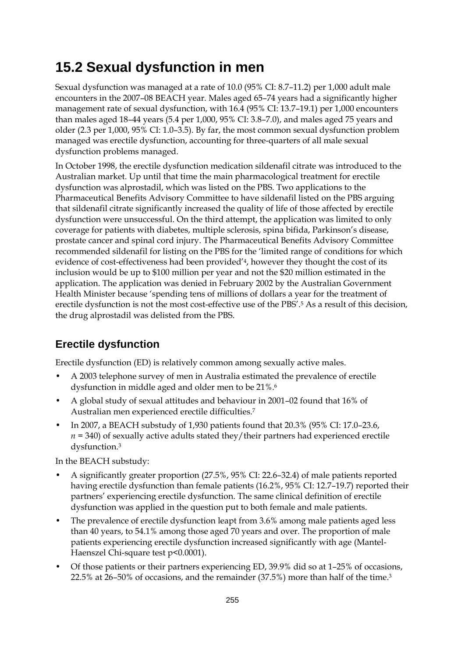## **15.2 Sexual dysfunction in men**

Sexual dysfunction was managed at a rate of 10.0 (95% CI: 8.7–11.2) per 1,000 adult male encounters in the 2007–08 BEACH year. Males aged 65–74 years had a significantly higher management rate of sexual dysfunction, with 16.4 (95% CI: 13.7–19.1) per 1,000 encounters than males aged 18–44 years (5.4 per 1,000, 95% CI: 3.8–7.0), and males aged 75 years and older (2.3 per 1,000, 95% CI: 1.0–3.5). By far, the most common sexual dysfunction problem managed was erectile dysfunction, accounting for three-quarters of all male sexual dysfunction problems managed.

In October 1998, the erectile dysfunction medication sildenafil citrate was introduced to the Australian market. Up until that time the main pharmacological treatment for erectile dysfunction was alprostadil, which was listed on the PBS. Two applications to the Pharmaceutical Benefits Advisory Committee to have sildenafil listed on the PBS arguing that sildenafil citrate significantly increased the quality of life of those affected by erectile dysfunction were unsuccessful. On the third attempt, the application was limited to only coverage for patients with diabetes, multiple sclerosis, spina bifida, Parkinson's disease, prostate cancer and spinal cord injury. The Pharmaceutical Benefits Advisory Committee recommended sildenafil for listing on the PBS for the 'limited range of conditions for which evidence of cost-effectiveness had been provided'4, however they thought the cost of its inclusion would be up to \$100 million per year and not the \$20 million estimated in the application. The application was denied in February 2002 by the Australian Government Health Minister because 'spending tens of millions of dollars a year for the treatment of erectile dysfunction is not the most cost-effective use of the PBS'.<sup>5</sup> As a result of this decision, the drug alprostadil was delisted from the PBS.

## **Erectile dysfunction**

Erectile dysfunction (ED) is relatively common among sexually active males.

- A 2003 telephone survey of men in Australia estimated the prevalence of erectile dysfunction in middle aged and older men to be 21%.6
- A global study of sexual attitudes and behaviour in 2001–02 found that 16% of Australian men experienced erectile difficulties.7
- In 2007, a BEACH substudy of 1,930 patients found that 20.3% (95% CI: 17.0–23.6,  $n = 340$ ) of sexually active adults stated they/their partners had experienced erectile dysfunction.3

In the BEACH substudy:

- A significantly greater proportion (27.5%, 95% CI: 22.6–32.4) of male patients reported having erectile dysfunction than female patients (16.2%, 95% CI: 12.7–19.7) reported their partners' experiencing erectile dysfunction. The same clinical definition of erectile dysfunction was applied in the question put to both female and male patients.
- The prevalence of erectile dysfunction leapt from 3.6% among male patients aged less than 40 years, to 54.1% among those aged 70 years and over. The proportion of male patients experiencing erectile dysfunction increased significantly with age (Mantel-Haenszel Chi-square test p<0.0001).
- Of those patients or their partners experiencing ED, 39.9% did so at 1–25% of occasions, 22.5% at 26–50% of occasions, and the remainder (37.5%) more than half of the time.3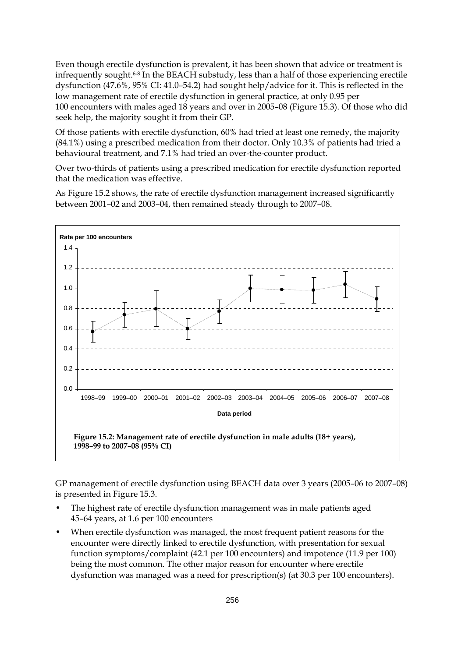Even though erectile dysfunction is prevalent, it has been shown that advice or treatment is infrequently sought.6-8 In the BEACH substudy, less than a half of those experiencing erectile dysfunction (47.6%, 95% CI: 41.0–54.2) had sought help/advice for it. This is reflected in the low management rate of erectile dysfunction in general practice, at only 0.95 per 100 encounters with males aged 18 years and over in 2005–08 (Figure 15.3). Of those who did seek help, the majority sought it from their GP.

Of those patients with erectile dysfunction, 60% had tried at least one remedy, the majority (84.1%) using a prescribed medication from their doctor. Only 10.3% of patients had tried a behavioural treatment, and 7.1% had tried an over-the-counter product.

Over two-thirds of patients using a prescribed medication for erectile dysfunction reported that the medication was effective.

As Figure 15.2 shows, the rate of erectile dysfunction management increased significantly between 2001–02 and 2003–04, then remained steady through to 2007–08.



GP management of erectile dysfunction using BEACH data over 3 years (2005–06 to 2007–08) is presented in Figure 15.3.

- The highest rate of erectile dysfunction management was in male patients aged 45–64 years, at 1.6 per 100 encounters
- When erectile dysfunction was managed, the most frequent patient reasons for the encounter were directly linked to erectile dysfunction, with presentation for sexual function symptoms/complaint (42.1 per 100 encounters) and impotence (11.9 per 100) being the most common. The other major reason for encounter where erectile dysfunction was managed was a need for prescription(s) (at 30.3 per 100 encounters).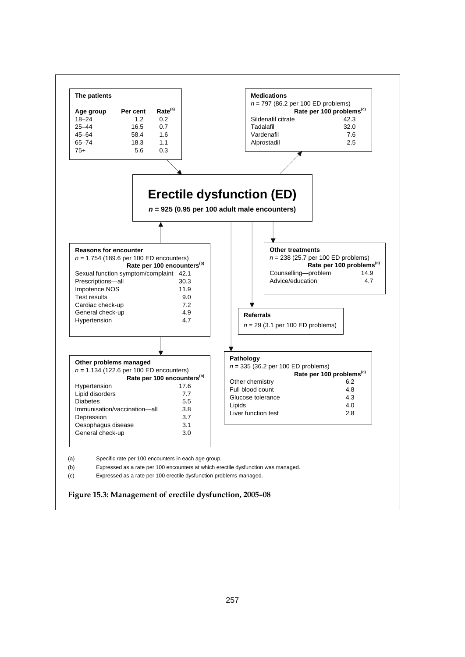

**Figure 15.3: Management of erectile dysfunction, 2005–08**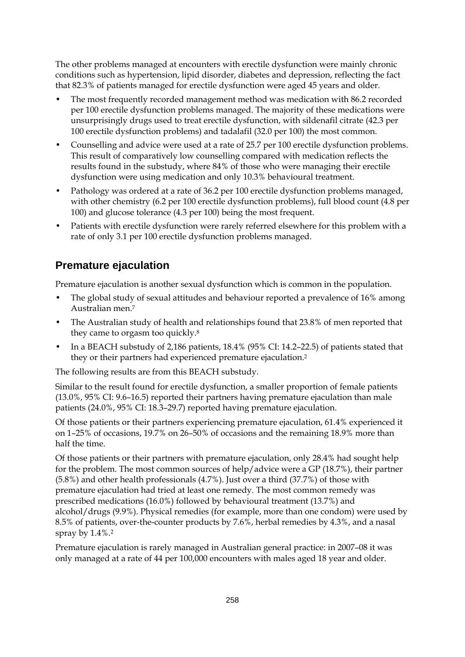The other problems managed at encounters with erectile dysfunction were mainly chronic conditions such as hypertension, lipid disorder, diabetes and depression, reflecting the fact that 82.3% of patients managed for erectile dysfunction were aged 45 years and older.

- The most frequently recorded management method was medication with 86.2 recorded per 100 erectile dysfunction problems managed. The majority of these medications were unsurprisingly drugs used to treat erectile dysfunction, with sildenafil citrate (42.3 per 100 erectile dysfunction problems) and tadalafil (32.0 per 100) the most common.
- Counselling and advice were used at a rate of 25.7 per 100 erectile dysfunction problems. This result of comparatively low counselling compared with medication reflects the results found in the substudy, where 84% of those who were managing their erectile dysfunction were using medication and only 10.3% behavioural treatment.
- Pathology was ordered at a rate of 36.2 per 100 erectile dysfunction problems managed, with other chemistry (6.2 per 100 erectile dysfunction problems), full blood count (4.8 per 100) and glucose tolerance (4.3 per 100) being the most frequent.
- Patients with erectile dysfunction were rarely referred elsewhere for this problem with a rate of only 3.1 per 100 erectile dysfunction problems managed.

### **Premature ejaculation**

Premature ejaculation is another sexual dysfunction which is common in the population.

- The global study of sexual attitudes and behaviour reported a prevalence of 16% among Australian men.7
- The Australian study of health and relationships found that 23.8% of men reported that they came to orgasm too quickly.8
- In a BEACH substudy of 2,186 patients, 18.4% (95% CI: 14.2–22.5) of patients stated that they or their partners had experienced premature ejaculation.<sup>2</sup>

The following results are from this BEACH substudy.

Similar to the result found for erectile dysfunction, a smaller proportion of female patients (13.0%, 95% CI: 9.6–16.5) reported their partners having premature ejaculation than male patients (24.0%, 95% CI: 18.3–29.7) reported having premature ejaculation.

Of those patients or their partners experiencing premature ejaculation, 61.4% experienced it on 1–25% of occasions, 19.7% on 26–50% of occasions and the remaining 18.9% more than half the time.

Of those patients or their partners with premature ejaculation, only 28.4% had sought help for the problem. The most common sources of help/advice were a GP (18.7%), their partner (5.8%) and other health professionals (4.7%). Just over a third (37.7%) of those with premature ejaculation had tried at least one remedy. The most common remedy was prescribed medications (16.0%) followed by behavioural treatment (13.7%) and alcohol/drugs (9.9%). Physical remedies (for example, more than one condom) were used by 8.5% of patients, over-the-counter products by 7.6%, herbal remedies by 4.3%, and a nasal spray by 1.4%.2

Premature ejaculation is rarely managed in Australian general practice: in 2007–08 it was only managed at a rate of 44 per 100,000 encounters with males aged 18 year and older.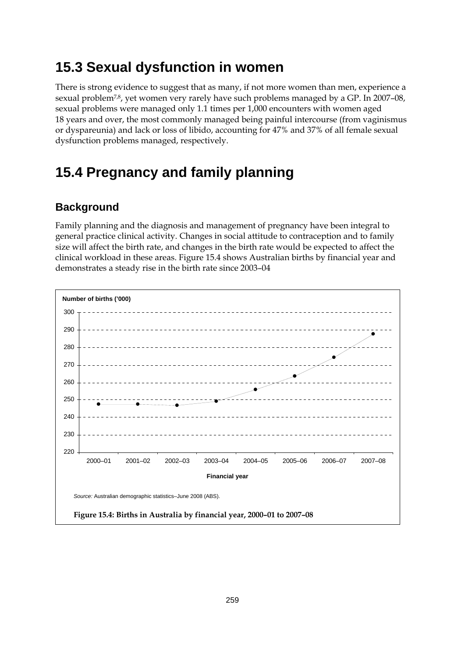## **15.3 Sexual dysfunction in women**

There is strong evidence to suggest that as many, if not more women than men, experience a sexual problem<sup>7,8</sup>, yet women very rarely have such problems managed by a GP. In 2007-08, sexual problems were managed only 1.1 times per 1,000 encounters with women aged 18 years and over, the most commonly managed being painful intercourse (from vaginismus or dyspareunia) and lack or loss of libido, accounting for 47% and 37% of all female sexual dysfunction problems managed, respectively.

## **15.4 Pregnancy and family planning**

### **Background**

Family planning and the diagnosis and management of pregnancy have been integral to general practice clinical activity. Changes in social attitude to contraception and to family size will affect the birth rate, and changes in the birth rate would be expected to affect the clinical workload in these areas. Figure 15.4 shows Australian births by financial year and demonstrates a steady rise in the birth rate since 2003–04

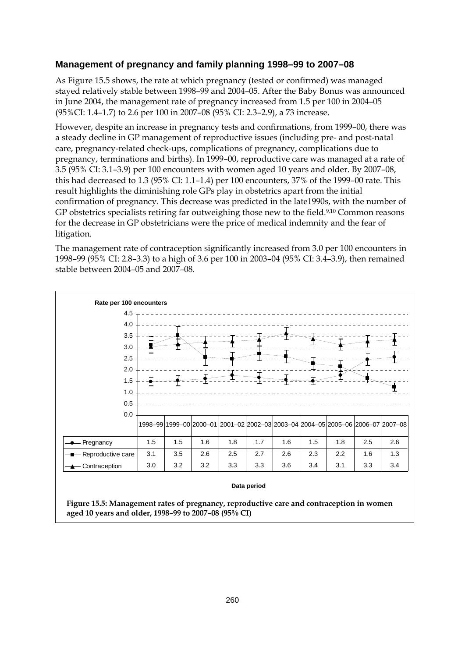#### **Management of pregnancy and family planning 1998–99 to 2007–08**

As Figure 15.5 shows, the rate at which pregnancy (tested or confirmed) was managed stayed relatively stable between 1998–99 and 2004–05. After the Baby Bonus was announced in June 2004, the management rate of pregnancy increased from 1.5 per 100 in 2004–05 (95%CI: 1.4–1.7) to 2.6 per 100 in 2007–08 (95% CI: 2.3–2.9), a 73 increase.

However, despite an increase in pregnancy tests and confirmations, from 1999–00, there was a steady decline in GP management of reproductive issues (including pre- and post-natal care, pregnancy-related check-ups, complications of pregnancy, complications due to pregnancy, terminations and births). In 1999–00, reproductive care was managed at a rate of 3.5 (95% CI: 3.1–3.9) per 100 encounters with women aged 10 years and older. By 2007–08, this had decreased to 1.3 (95% CI: 1.1–1.4) per 100 encounters, 37% of the 1999–00 rate. This result highlights the diminishing role GPs play in obstetrics apart from the initial confirmation of pregnancy. This decrease was predicted in the late1990s, with the number of GP obstetrics specialists retiring far outweighing those new to the field.<sup>9,10</sup> Common reasons for the decrease in GP obstetricians were the price of medical indemnity and the fear of litigation.

The management rate of contraception significantly increased from 3.0 per 100 encounters in 1998–99 (95% CI: 2.8–3.3) to a high of 3.6 per 100 in 2003–04 (95% CI: 3.4–3.9), then remained stable between 2004–05 and 2007–08.



#### **Data period**

**Figure 15.5: Management rates of pregnancy, reproductive care and contraception in women aged 10 years and older, 1998–99 to 2007–08 (95% CI)**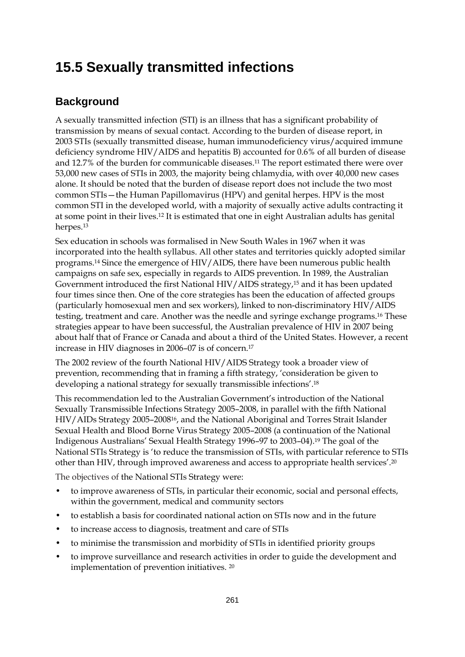## **15.5 Sexually transmitted infections**

### **Background**

A sexually transmitted infection (STI) is an illness that has a significant probability of transmission by means of sexual contact. According to the burden of disease report, in 2003 STIs (sexually transmitted disease, human immunodeficiency virus/acquired immune deficiency syndrome HIV/AIDS and hepatitis B) accounted for 0.6% of all burden of disease and 12.7% of the burden for communicable diseases.11 The report estimated there were over 53,000 new cases of STIs in 2003, the majority being chlamydia, with over 40,000 new cases alone. It should be noted that the burden of disease report does not include the two most common STIs—the Human Papillomavirus (HPV) and genital herpes. HPV is the most common STI in the developed world, with a majority of sexually active adults contracting it at some point in their lives.12 It is estimated that one in eight Australian adults has genital herpes.13

Sex education in schools was formalised in New South Wales in 1967 when it was incorporated into the health syllabus. All other states and territories quickly adopted similar programs.14 Since the emergence of HIV/AIDS, there have been numerous public health campaigns on safe sex, especially in regards to AIDS prevention. In 1989, the Australian Government introduced the first National HIV/AIDS strategy,15 and it has been updated four times since then. One of the core strategies has been the education of affected groups (particularly homosexual men and sex workers), linked to non-discriminatory HIV/AIDS testing, treatment and care. Another was the needle and syringe exchange programs.16 These strategies appear to have been successful, the Australian prevalence of HIV in 2007 being about half that of France or Canada and about a third of the United States. However, a recent increase in HIV diagnoses in 2006–07 is of concern.17

The 2002 review of the fourth National HIV/AIDS Strategy took a broader view of prevention, recommending that in framing a fifth strategy, 'consideration be given to developing a national strategy for sexually transmissible infections'.18

This recommendation led to the Australian Government's introduction of the National Sexually Transmissible Infections Strategy 2005–2008, in parallel with the fifth National HIV/AIDs Strategy 2005–200816, and the National Aboriginal and Torres Strait Islander Sexual Health and Blood Borne Virus Strategy 2005–2008 (a continuation of the National Indigenous Australians' Sexual Health Strategy 1996–97 to 2003–04).19 The goal of the National STIs Strategy is 'to reduce the transmission of STIs, with particular reference to STIs other than HIV, through improved awareness and access to appropriate health services'.20

The objectives of the National STIs Strategy were:

- to improve awareness of STIs, in particular their economic, social and personal effects, within the government, medical and community sectors
- to establish a basis for coordinated national action on STIs now and in the future
- to increase access to diagnosis, treatment and care of STIs
- to minimise the transmission and morbidity of STIs in identified priority groups
- to improve surveillance and research activities in order to guide the development and implementation of prevention initiatives. 20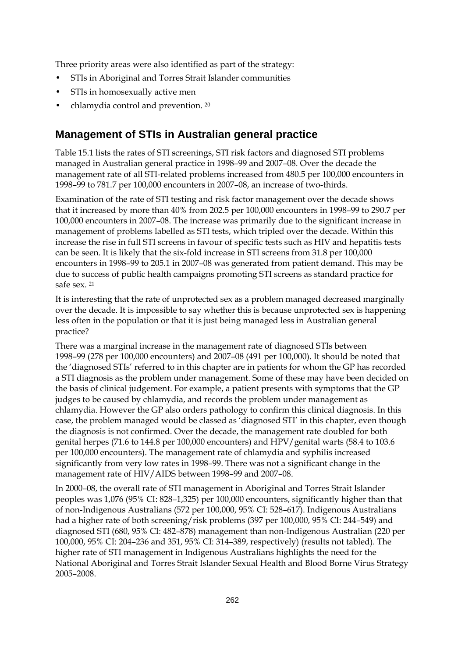Three priority areas were also identified as part of the strategy:

- STIs in Aboriginal and Torres Strait Islander communities
- STIs in homosexually active men
- chlamydia control and prevention. 20

### **Management of STIs in Australian general practice**

Table 15.1 lists the rates of STI screenings, STI risk factors and diagnosed STI problems managed in Australian general practice in 1998–99 and 2007–08. Over the decade the management rate of all STI-related problems increased from 480.5 per 100,000 encounters in 1998–99 to 781.7 per 100,000 encounters in 2007–08, an increase of two-thirds.

Examination of the rate of STI testing and risk factor management over the decade shows that it increased by more than 40% from 202.5 per 100,000 encounters in 1998–99 to 290.7 per 100,000 encounters in 2007–08. The increase was primarily due to the significant increase in management of problems labelled as STI tests, which tripled over the decade. Within this increase the rise in full STI screens in favour of specific tests such as HIV and hepatitis tests can be seen. It is likely that the six-fold increase in STI screens from 31.8 per 100,000 encounters in 1998–99 to 205.1 in 2007–08 was generated from patient demand. This may be due to success of public health campaigns promoting STI screens as standard practice for safe sex. 21

It is interesting that the rate of unprotected sex as a problem managed decreased marginally over the decade. It is impossible to say whether this is because unprotected sex is happening less often in the population or that it is just being managed less in Australian general practice?

There was a marginal increase in the management rate of diagnosed STIs between 1998–99 (278 per 100,000 encounters) and 2007–08 (491 per 100,000). It should be noted that the 'diagnosed STIs' referred to in this chapter are in patients for whom the GP has recorded a STI diagnosis as the problem under management. Some of these may have been decided on the basis of clinical judgement. For example, a patient presents with symptoms that the GP judges to be caused by chlamydia, and records the problem under management as chlamydia. However the GP also orders pathology to confirm this clinical diagnosis. In this case, the problem managed would be classed as 'diagnosed STI' in this chapter, even though the diagnosis is not confirmed. Over the decade, the management rate doubled for both genital herpes (71.6 to 144.8 per 100,000 encounters) and HPV/genital warts (58.4 to 103.6 per 100,000 encounters). The management rate of chlamydia and syphilis increased significantly from very low rates in 1998–99. There was not a significant change in the management rate of HIV/AIDS between 1998–99 and 2007–08.

In 2000–08, the overall rate of STI management in Aboriginal and Torres Strait Islander peoples was 1,076 (95% CI: 828–1,325) per 100,000 encounters, significantly higher than that of non-Indigenous Australians (572 per 100,000, 95% CI: 528–617). Indigenous Australians had a higher rate of both screening/risk problems (397 per 100,000, 95% CI: 244–549) and diagnosed STI (680, 95% CI: 482–878) management than non-Indigenous Australian (220 per 100,000, 95% CI: 204–236 and 351, 95% CI: 314–389, respectively) (results not tabled). The higher rate of STI management in Indigenous Australians highlights the need for the National Aboriginal and Torres Strait Islander Sexual Health and Blood Borne Virus Strategy 2005–2008.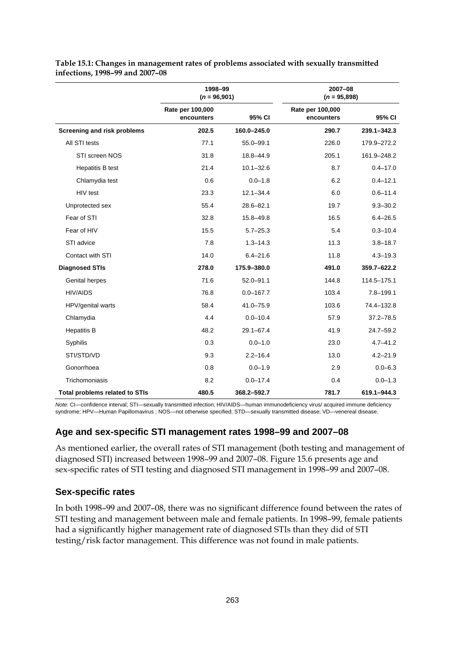|                                       | 1998-99<br>$(n = 96,901)$      |               | 2007-08<br>$(n = 95,898)$      |               |
|---------------------------------------|--------------------------------|---------------|--------------------------------|---------------|
|                                       | Rate per 100,000<br>encounters | 95% CI        | Rate per 100,000<br>encounters | 95% CI        |
| Screening and risk problems           | 202.5                          | 160.0-245.0   | 290.7                          | 239.1-342.3   |
| All STI tests                         | 77.1                           | $55.0 - 99.1$ | 226.0                          | 179.9-272.2   |
| STI screen NOS                        | 31.8                           | 18.8-44.9     | 205.1                          | 161.9-248.2   |
| <b>Hepatitis B test</b>               | 21.4                           | $10.1 - 32.6$ | 8.7                            | $0.4 - 17.0$  |
| Chlamydia test                        | 0.6                            | $0.0 - 1.8$   | 6.2                            | $0.4 - 12.1$  |
| HIV test                              | 23.3                           | $12.1 - 34.4$ | 6.0                            | $0.6 - 11.4$  |
| Unprotected sex                       | 55.4                           | 28.6-82.1     | 19.7                           | $9.3 - 30.2$  |
| Fear of STI                           | 32.8                           | $15.8 - 49.8$ | 16.5                           | $6.4 - 26.5$  |
| Fear of HIV                           | 15.5                           | $5.7 - 25.3$  | 5.4                            | $0.3 - 10.4$  |
| STI advice                            | 7.8                            | $1.3 - 14.3$  | 11.3                           | $3.8 - 18.7$  |
| Contact with STI                      | 14.0                           | $6.4 - 21.6$  | 11.8                           | $4.3 - 19.3$  |
| <b>Diagnosed STIs</b>                 | 278.0                          | 175.9-380.0   | 491.0                          | 359.7-622.2   |
| Genital herpes                        | 71.6                           | $52.0 - 91.1$ | 144.8                          | 114.5-175.1   |
| <b>HIV/AIDS</b>                       | 76.8                           | $0.0 - 167.7$ | 103.4                          | $7.8 - 199.1$ |
| HPV/genital warts                     | 58.4                           | $41.0 - 75.9$ | 103.6                          | 74.4-132.8    |
| Chlamydia                             | 4.4                            | $0.0 - 10.4$  | 57.9                           | $37.2 - 78.5$ |
| <b>Hepatitis B</b>                    | 48.2                           | $29.1 - 67.4$ | 41.9                           | $24.7 - 59.2$ |
| Syphilis                              | 0.3                            | $0.0 - 1.0$   | 23.0                           | $4.7 - 41.2$  |
| STI/STD/VD                            | 9.3                            | $2.2 - 16.4$  | 13.0                           | $4.2 - 21.9$  |
| Gonorrhoea                            | 0.8                            | $0.0 - 1.9$   | 2.9                            | $0.0 - 6.3$   |
| Trichomoniasis                        | 8.2                            | $0.0 - 17.4$  | 0.4                            | $0.0 - 1.3$   |
| <b>Total problems related to STIs</b> | 480.5                          | 368.2-592.7   | 781.7                          | 619.1-944.3   |

**Table 15.1: Changes in management rates of problems associated with sexually transmitted infections, 1998–99 and 2007–08** 

*Note:* CI—confidence interval; STI—sexually transmitted infection; HIV/AIDS—human immunodeficiency virus/ acquired immune deficiency syndrome; HPV—Human Papillomavirus ; NOS—not otherwise specified; STD—sexually transmitted disease; VD—venereal disease.

#### **Age and sex-specific STI management rates 1998–99 and 2007–08**

As mentioned earlier, the overall rates of STI management (both testing and management of diagnosed STI) increased between 1998–99 and 2007–08. Figure 15.6 presents age and sex-specific rates of STI testing and diagnosed STI management in 1998–99 and 2007–08.

#### **Sex-specific rates**

In both 1998–99 and 2007–08, there was no significant difference found between the rates of STI testing and management between male and female patients. In 1998–99, female patients had a significantly higher management rate of diagnosed STIs than they did of STI testing/risk factor management. This difference was not found in male patients.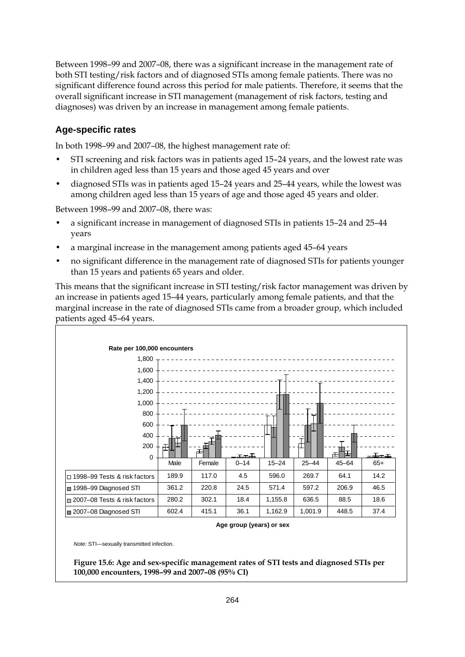Between 1998–99 and 2007–08, there was a significant increase in the management rate of both STI testing/risk factors and of diagnosed STIs among female patients. There was no significant difference found across this period for male patients. Therefore, it seems that the overall significant increase in STI management (management of risk factors, testing and diagnoses) was driven by an increase in management among female patients.

#### **Age-specific rates**

In both 1998–99 and 2007–08, the highest management rate of:

- STI screening and risk factors was in patients aged 15–24 years, and the lowest rate was in children aged less than 15 years and those aged 45 years and over
- diagnosed STIs was in patients aged 15–24 years and 25–44 years, while the lowest was among children aged less than 15 years of age and those aged 45 years and older.

Between 1998–99 and 2007–08, there was:

- a significant increase in management of diagnosed STIs in patients 15–24 and 25–44 years
- a marginal increase in the management among patients aged 45–64 years
- no significant difference in the management rate of diagnosed STIs for patients younger than 15 years and patients 65 years and older.

This means that the significant increase in STI testing/risk factor management was driven by an increase in patients aged 15–44 years, particularly among female patients, and that the marginal increase in the rate of diagnosed STIs came from a broader group, which included patients aged 45–64 years.



**Age group (years) or sex**

*Note:* STI—sexually transmitted infection.

**Figure 15.6: Age and sex-specific management rates of STI tests and diagnosed STIs per 100,000 encounters, 1998–99 and 2007–08 (95% CI)**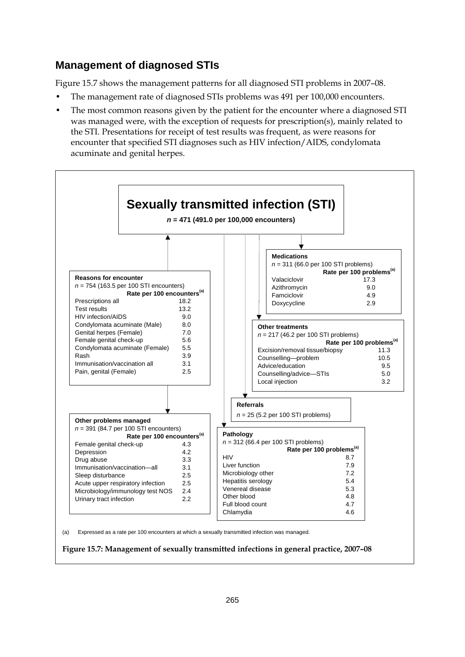### **Management of diagnosed STIs**

Figure 15.7 shows the management patterns for all diagnosed STI problems in 2007–08.

- The management rate of diagnosed STIs problems was 491 per 100,000 encounters.
- The most common reasons given by the patient for the encounter where a diagnosed STI was managed were, with the exception of requests for prescription(s), mainly related to the STI. Presentations for receipt of test results was frequent, as were reasons for encounter that specified STI diagnoses such as HIV infection/AIDS, condylomata acuminate and genital herpes.



(a) Expressed as a rate per 100 encounters at which a sexually transmitted infection was managed.

**Figure 15.7: Management of sexually transmitted infections in general practice, 2007–08**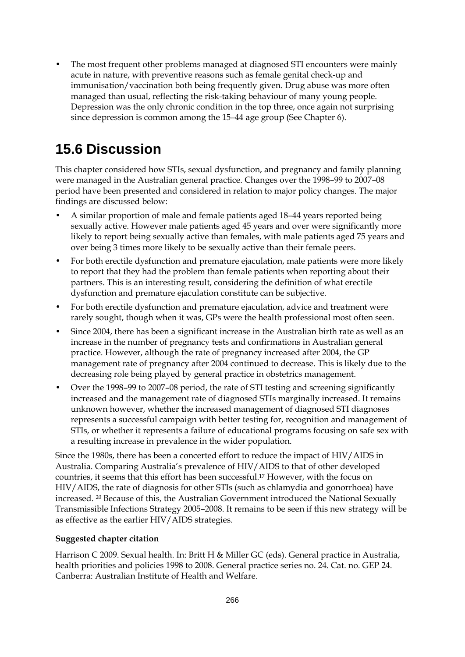• The most frequent other problems managed at diagnosed STI encounters were mainly acute in nature, with preventive reasons such as female genital check-up and immunisation/vaccination both being frequently given. Drug abuse was more often managed than usual, reflecting the risk-taking behaviour of many young people. Depression was the only chronic condition in the top three, once again not surprising since depression is common among the 15–44 age group (See Chapter 6).

## **15.6 Discussion**

This chapter considered how STIs, sexual dysfunction, and pregnancy and family planning were managed in the Australian general practice. Changes over the 1998–99 to 2007–08 period have been presented and considered in relation to major policy changes. The major findings are discussed below:

- A similar proportion of male and female patients aged 18–44 years reported being sexually active. However male patients aged 45 years and over were significantly more likely to report being sexually active than females, with male patients aged 75 years and over being 3 times more likely to be sexually active than their female peers.
- For both erectile dysfunction and premature ejaculation, male patients were more likely to report that they had the problem than female patients when reporting about their partners. This is an interesting result, considering the definition of what erectile dysfunction and premature ejaculation constitute can be subjective.
- For both erectile dysfunction and premature ejaculation, advice and treatment were rarely sought, though when it was, GPs were the health professional most often seen.
- Since 2004, there has been a significant increase in the Australian birth rate as well as an increase in the number of pregnancy tests and confirmations in Australian general practice. However, although the rate of pregnancy increased after 2004, the GP management rate of pregnancy after 2004 continued to decrease. This is likely due to the decreasing role being played by general practice in obstetrics management.
- Over the 1998–99 to 2007–08 period, the rate of STI testing and screening significantly increased and the management rate of diagnosed STIs marginally increased. It remains unknown however, whether the increased management of diagnosed STI diagnoses represents a successful campaign with better testing for, recognition and management of STIs, or whether it represents a failure of educational programs focusing on safe sex with a resulting increase in prevalence in the wider population.

Since the 1980s, there has been a concerted effort to reduce the impact of HIV/AIDS in Australia. Comparing Australia's prevalence of HIV/AIDS to that of other developed countries, it seems that this effort has been successful.17 However, with the focus on HIV/AIDS, the rate of diagnosis for other STIs (such as chlamydia and gonorrhoea) have increased. 20 Because of this, the Australian Government introduced the National Sexually Transmissible Infections Strategy 2005–2008. It remains to be seen if this new strategy will be as effective as the earlier HIV/AIDS strategies.

#### **Suggested chapter citation**

Harrison C 2009. Sexual health. In: Britt H & Miller GC (eds). General practice in Australia, health priorities and policies 1998 to 2008. General practice series no. 24. Cat. no. GEP 24. Canberra: Australian Institute of Health and Welfare.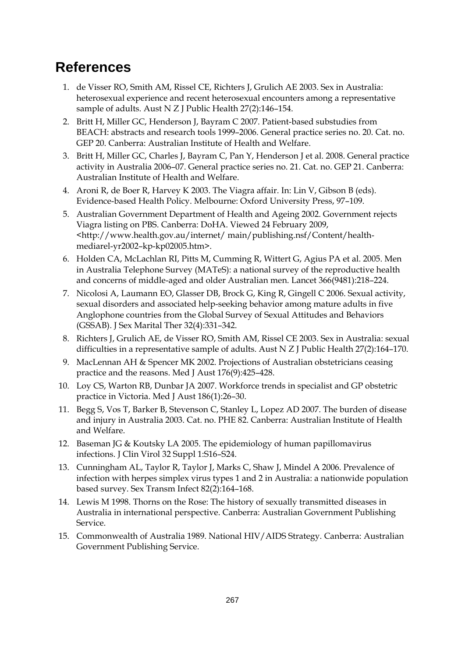## **References**

- 1. de Visser RO, Smith AM, Rissel CE, Richters J, Grulich AE 2003. Sex in Australia: heterosexual experience and recent heterosexual encounters among a representative sample of adults. Aust N Z J Public Health 27(2):146–154.
- 2. Britt H, Miller GC, Henderson J, Bayram C 2007. Patient-based substudies from BEACH: abstracts and research tools 1999–2006. General practice series no. 20. Cat. no. GEP 20. Canberra: Australian Institute of Health and Welfare.
- 3. Britt H, Miller GC, Charles J, Bayram C, Pan Y, Henderson J et al. 2008. General practice activity in Australia 2006–07. General practice series no. 21. Cat. no. GEP 21. Canberra: Australian Institute of Health and Welfare.
- 4. Aroni R, de Boer R, Harvey K 2003. The Viagra affair. In: Lin V, Gibson B (eds). Evidence-based Health Policy. Melbourne: Oxford University Press, 97–109.
- 5. Australian Government Department of Health and Ageing 2002. Government rejects Viagra listing on PBS. Canberra: DoHA. Viewed 24 February 2009, <http://www.health.gov.au/internet/ main/publishing.nsf/Content/healthmediarel-yr2002–kp-kp02005.htm>.
- 6. Holden CA, McLachlan RI, Pitts M, Cumming R, Wittert G, Agius PA et al. 2005. Men in Australia Telephone Survey (MATeS): a national survey of the reproductive health and concerns of middle-aged and older Australian men. Lancet 366(9481):218–224.
- 7. Nicolosi A, Laumann EO, Glasser DB, Brock G, King R, Gingell C 2006. Sexual activity, sexual disorders and associated help-seeking behavior among mature adults in five Anglophone countries from the Global Survey of Sexual Attitudes and Behaviors (GSSAB). J Sex Marital Ther 32(4):331–342.
- 8. Richters J, Grulich AE, de Visser RO, Smith AM, Rissel CE 2003. Sex in Australia: sexual difficulties in a representative sample of adults. Aust N Z J Public Health 27(2):164–170.
- 9. MacLennan AH & Spencer MK 2002. Projections of Australian obstetricians ceasing practice and the reasons. Med J Aust 176(9):425–428.
- 10. Loy CS, Warton RB, Dunbar JA 2007. Workforce trends in specialist and GP obstetric practice in Victoria. Med J Aust 186(1):26–30.
- 11. Begg S, Vos T, Barker B, Stevenson C, Stanley L, Lopez AD 2007. The burden of disease and injury in Australia 2003. Cat. no. PHE 82. Canberra: Australian Institute of Health and Welfare.
- 12. Baseman JG & Koutsky LA 2005. The epidemiology of human papillomavirus infections. J Clin Virol 32 Suppl 1:S16–S24.
- 13. Cunningham AL, Taylor R, Taylor J, Marks C, Shaw J, Mindel A 2006. Prevalence of infection with herpes simplex virus types 1 and 2 in Australia: a nationwide population based survey. Sex Transm Infect 82(2):164–168.
- 14. Lewis M 1998. Thorns on the Rose: The history of sexually transmitted diseases in Australia in international perspective. Canberra: Australian Government Publishing Service.
- 15. Commonwealth of Australia 1989. National HIV/AIDS Strategy. Canberra: Australian Government Publishing Service.